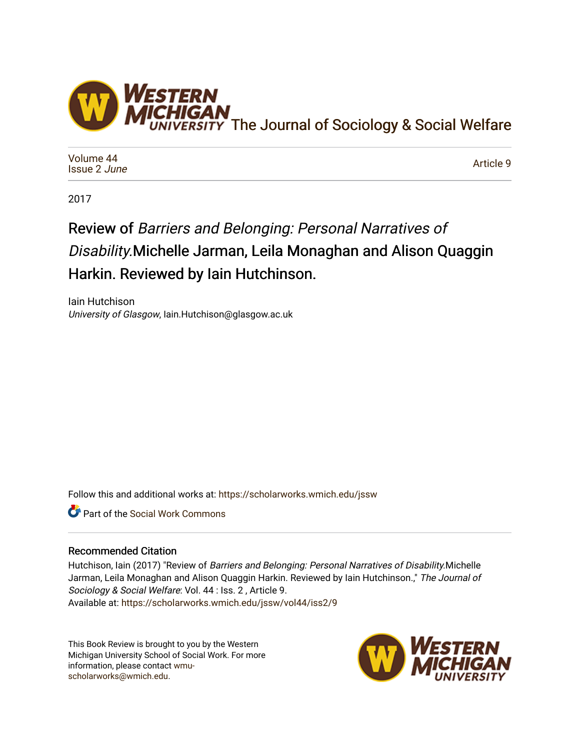

[Volume 44](https://scholarworks.wmich.edu/jssw/vol44) [Issue 2](https://scholarworks.wmich.edu/jssw/vol44/iss2) June

[Article 9](https://scholarworks.wmich.edu/jssw/vol44/iss2/9) 

2017

## Review of Barriers and Belonging: Personal Narratives of Disability.Michelle Jarman, Leila Monaghan and Alison Quaggin Harkin. Reviewed by Iain Hutchinson.

Iain Hutchison University of Glasgow, Iain.Hutchison@glasgow.ac.uk

Follow this and additional works at: [https://scholarworks.wmich.edu/jssw](https://scholarworks.wmich.edu/jssw?utm_source=scholarworks.wmich.edu%2Fjssw%2Fvol44%2Fiss2%2F9&utm_medium=PDF&utm_campaign=PDFCoverPages) 

Part of the [Social Work Commons](http://network.bepress.com/hgg/discipline/713?utm_source=scholarworks.wmich.edu%2Fjssw%2Fvol44%2Fiss2%2F9&utm_medium=PDF&utm_campaign=PDFCoverPages)

## Recommended Citation

Hutchison, Iain (2017) "Review of Barriers and Belonging: Personal Narratives of Disability. Michelle Jarman, Leila Monaghan and Alison Quaggin Harkin. Reviewed by Iain Hutchinson.," The Journal of Sociology & Social Welfare: Vol. 44 : Iss. 2 , Article 9. Available at: [https://scholarworks.wmich.edu/jssw/vol44/iss2/9](https://scholarworks.wmich.edu/jssw/vol44/iss2/9?utm_source=scholarworks.wmich.edu%2Fjssw%2Fvol44%2Fiss2%2F9&utm_medium=PDF&utm_campaign=PDFCoverPages)

This Book Review is brought to you by the Western Michigan University School of Social Work. For more information, please contact [wmu](mailto:wmu-scholarworks@wmich.edu)[scholarworks@wmich.edu.](mailto:wmu-scholarworks@wmich.edu)

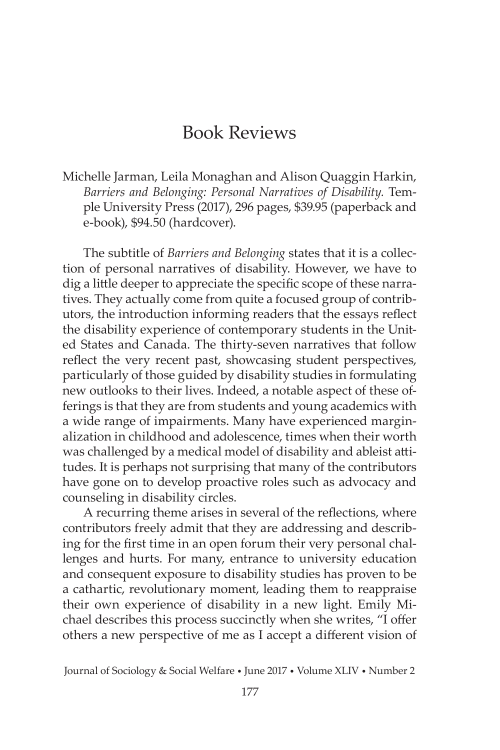## Book Reviews

Michelle Jarman, Leila Monaghan and Alison Quaggin Harkin, *Barriers and Belonging: Personal Narratives of Disability.* Temple University Press (2017), 296 pages, \$39.95 (paperback and e-book), \$94.50 (hardcover).

The subtitle of *Barriers and Belonging* states that it is a collection of personal narratives of disability. However, we have to dig a little deeper to appreciate the specific scope of these narratives. They actually come from quite a focused group of contributors, the introduction informing readers that the essays reflect the disability experience of contemporary students in the United States and Canada. The thirty-seven narratives that follow reflect the very recent past, showcasing student perspectives, particularly of those guided by disability studies in formulating new outlooks to their lives. Indeed, a notable aspect of these offerings is that they are from students and young academics with a wide range of impairments. Many have experienced marginalization in childhood and adolescence, times when their worth was challenged by a medical model of disability and ableist attitudes. It is perhaps not surprising that many of the contributors have gone on to develop proactive roles such as advocacy and counseling in disability circles.

A recurring theme arises in several of the reflections, where contributors freely admit that they are addressing and describing for the first time in an open forum their very personal challenges and hurts. For many, entrance to university education and consequent exposure to disability studies has proven to be a cathartic, revolutionary moment, leading them to reappraise their own experience of disability in a new light. Emily Michael describes this process succinctly when she writes, "I offer others a new perspective of me as I accept a different vision of

Journal of Sociology & Social Welfare • June 2017 • Volume XLIV • Number 2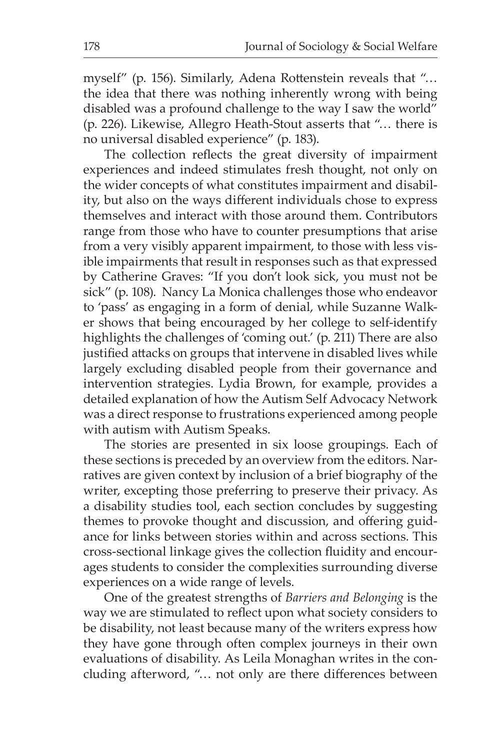myself" (p. 156). Similarly, Adena Rottenstein reveals that "… the idea that there was nothing inherently wrong with being disabled was a profound challenge to the way I saw the world" (p. 226). Likewise, Allegro Heath-Stout asserts that "… there is no universal disabled experience" (p. 183).

The collection reflects the great diversity of impairment experiences and indeed stimulates fresh thought, not only on the wider concepts of what constitutes impairment and disability, but also on the ways different individuals chose to express themselves and interact with those around them. Contributors range from those who have to counter presumptions that arise from a very visibly apparent impairment, to those with less visible impairments that result in responses such as that expressed by Catherine Graves: "If you don't look sick, you must not be sick" (p. 108). Nancy La Monica challenges those who endeavor to 'pass' as engaging in a form of denial, while Suzanne Walker shows that being encouraged by her college to self-identify highlights the challenges of 'coming out.' (p. 211) There are also justified attacks on groups that intervene in disabled lives while largely excluding disabled people from their governance and intervention strategies. Lydia Brown, for example, provides a detailed explanation of how the Autism Self Advocacy Network was a direct response to frustrations experienced among people with autism with Autism Speaks.

The stories are presented in six loose groupings. Each of these sections is preceded by an overview from the editors. Narratives are given context by inclusion of a brief biography of the writer, excepting those preferring to preserve their privacy. As a disability studies tool, each section concludes by suggesting themes to provoke thought and discussion, and offering guidance for links between stories within and across sections. This cross-sectional linkage gives the collection fluidity and encourages students to consider the complexities surrounding diverse experiences on a wide range of levels.

One of the greatest strengths of *Barriers and Belonging* is the way we are stimulated to reflect upon what society considers to be disability, not least because many of the writers express how they have gone through often complex journeys in their own evaluations of disability. As Leila Monaghan writes in the concluding afterword, "… not only are there differences between